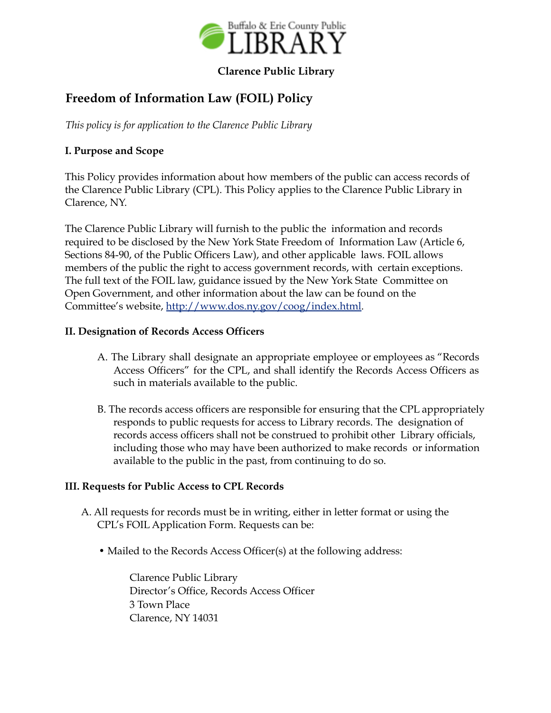

## **Clarence Public Library**

# **Freedom of Information Law (FOIL) Policy**

*This policy is for application to the Clarence Public Library*

## **I. Purpose and Scope**

This Policy provides information about how members of the public can access records of the Clarence Public Library (CPL). This Policy applies to the Clarence Public Library in Clarence, NY.

The Clarence Public Library will furnish to the public the information and records required to be disclosed by the New York State Freedom of Information Law (Article 6, Sections 84-90, of the Public Officers Law), and other applicable laws. FOIL allows members of the public the right to access government records, with certain exceptions. The full text of the FOIL law, guidance issued by the New York State Committee on Open Government, and other information about the law can be found on the Committee's website, http://www.dos.ny.gov/coog/index.html.

#### **II. Designation of Records Access Officers**

- A. The Library shall designate an appropriate employee or employees as "Records Access Officers" for the CPL, and shall identify the Records Access Officers as such in materials available to the public.
- B. The records access officers are responsible for ensuring that the CPL appropriately responds to public requests for access to Library records. The designation of records access officers shall not be construed to prohibit other Library officials, including those who may have been authorized to make records or information available to the public in the past, from continuing to do so.

#### **III. Requests for Public Access to CPL Records**

- A. All requests for records must be in writing, either in letter format or using the CPL's FOIL Application Form. Requests can be:
	- Mailed to the Records Access Officer(s) at the following address:

Clarence Public Library Director's Office, Records Access Officer 3 Town Place Clarence, NY 14031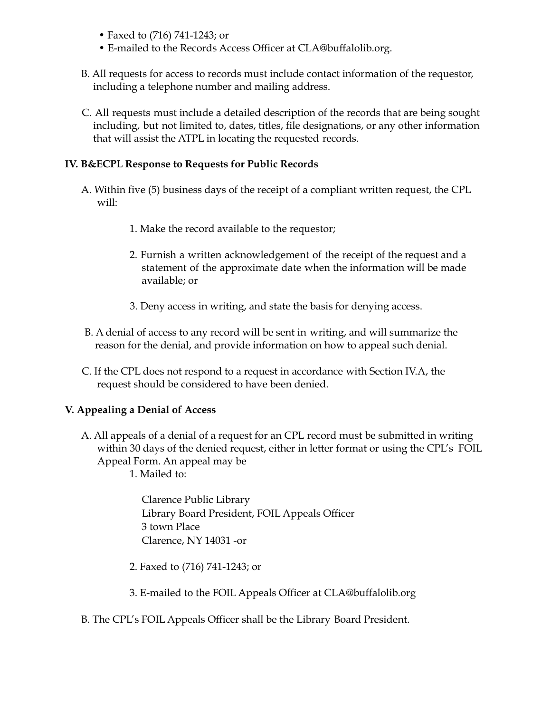- Faxed to (716) 741-1243; or
- E-mailed to the Records Access Officer at CLA@buffalolib.org.
- B. All requests for access to records must include contact information of the requestor, including a telephone number and mailing address.
- C. All requests must include a detailed description of the records that are being sought including, but not limited to, dates, titles, file designations, or any other information that will assist the ATPL in locating the requested records.

#### **IV. B&ECPL Response to Requests for Public Records**

- A. Within five (5) business days of the receipt of a compliant written request, the CPL will:
	- 1. Make the record available to the requestor;
	- 2. Furnish a written acknowledgement of the receipt of the request and a statement of the approximate date when the information will be made available; or
	- 3. Deny access in writing, and state the basis for denying access.
- B. A denial of access to any record will be sent in writing, and will summarize the reason for the denial, and provide information on how to appeal such denial.
- C. If the CPL does not respond to a request in accordance with Section IV.A, the request should be considered to have been denied.

#### **V. Appealing a Denial of Access**

- A. All appeals of a denial of a request for an CPL record must be submitted in writing within 30 days of the denied request, either in letter format or using the CPL's FOIL Appeal Form. An appeal may be
	- 1. Mailed to:

Clarence Public Library Library Board President, FOIL Appeals Officer 3 town Place Clarence, NY 14031 -or

- 2. Faxed to (716) 741-1243; or
- 3. E-mailed to the FOIL Appeals Officer at CLA@buffalolib.org

B. The CPL's FOIL Appeals Officer shall be the Library Board President.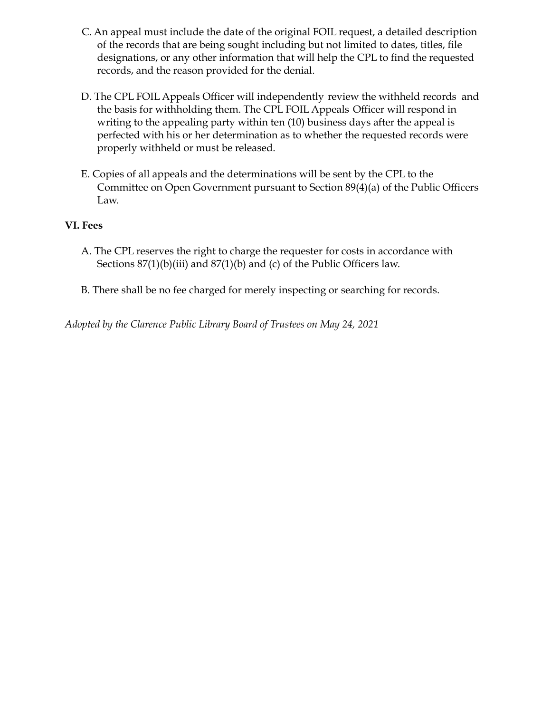- C. An appeal must include the date of the original FOIL request, a detailed description of the records that are being sought including but not limited to dates, titles, file designations, or any other information that will help the CPL to find the requested records, and the reason provided for the denial.
- D. The CPL FOIL Appeals Officer will independently review the withheld records and the basis for withholding them. The CPL FOIL Appeals Officer will respond in writing to the appealing party within ten (10) business days after the appeal is perfected with his or her determination as to whether the requested records were properly withheld or must be released.
- E. Copies of all appeals and the determinations will be sent by the CPL to the Committee on Open Government pursuant to Section 89(4)(a) of the Public Officers Law.

### **VI. Fees**

- A. The CPL reserves the right to charge the requester for costs in accordance with Sections 87(1)(b)(iii) and 87(1)(b) and (c) of the Public Officers law.
- B. There shall be no fee charged for merely inspecting or searching for records.

*Adopted by the Clarence Public Library Board of Trustees on May 24, 2021*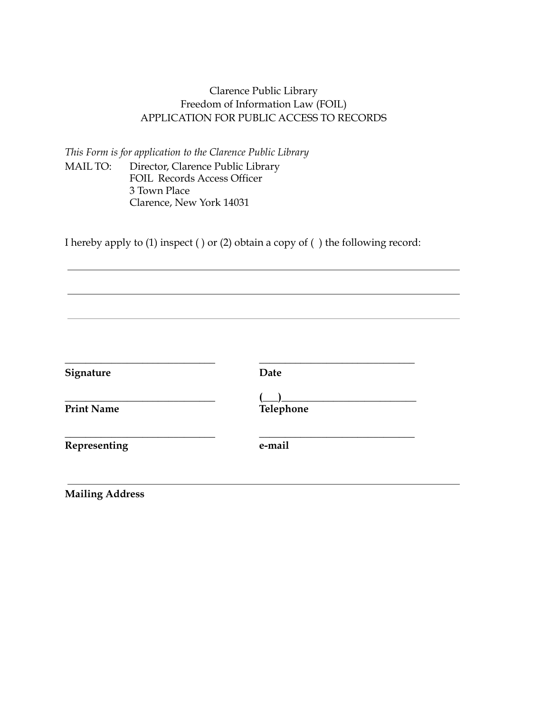### Clarence Public Library Freedom of Information Law (FOIL) APPLICATION FOR PUBLIC ACCESS TO RECORDS

*This Form is for application to the Clarence Public Library* MAIL TO: Director, Clarence Public Library FOIL Records Access Officer 3 Town Place Clarence, New York 14031

I hereby apply to (1) inspect ( ) or (2) obtain a copy of ( ) the following record:

\_\_\_\_\_\_\_\_\_\_\_\_\_\_\_\_\_\_\_\_\_\_\_\_\_\_\_\_\_ \_\_\_\_\_\_\_\_\_\_\_\_\_\_\_\_\_\_\_\_\_\_\_\_\_\_\_\_\_\_ **Signature Date \_\_\_\_\_\_\_\_\_\_\_\_\_\_\_\_\_\_\_\_\_\_\_\_\_\_\_\_\_ (\_\_\_)\_\_\_\_\_\_\_\_\_\_\_\_\_\_\_\_\_\_\_\_\_\_\_\_\_\_ Print Name Telephone \_\_\_\_\_\_\_\_\_\_\_\_\_\_\_\_\_\_\_\_\_\_\_\_\_\_\_\_\_ \_\_\_\_\_\_\_\_\_\_\_\_\_\_\_\_\_\_\_\_\_\_\_\_\_\_\_\_\_\_ Representing e-mail**

**Mailing Address**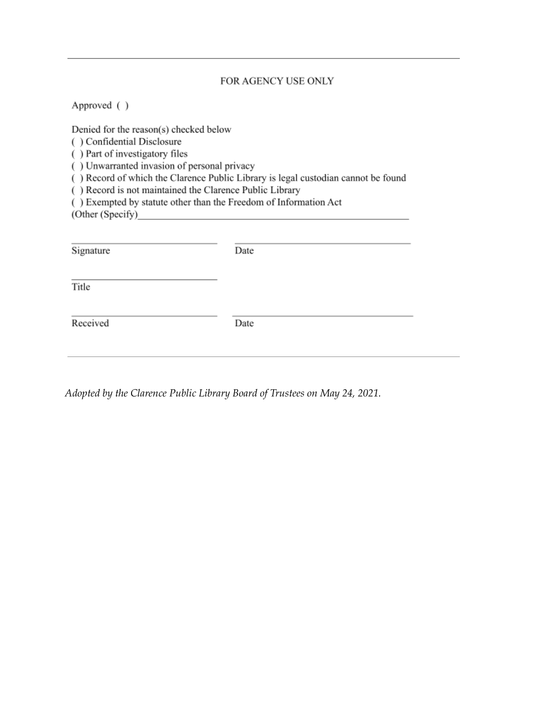#### FOR AGENCY USE ONLY

Approved ()

Denied for the reason(s) checked below

() Confidential Disclosure

() Part of investigatory files

() Unwarranted invasion of personal privacy

() Record of which the Clarence Public Library is legal custodian cannot be found

() Record is not maintained the Clarence Public Library

() Exempted by statute other than the Freedom of Information Act

(Other (Specify)

| Date |
|------|
|      |

*Adopted by the Clarence Public Library Board of Trustees on May 24, 2021.*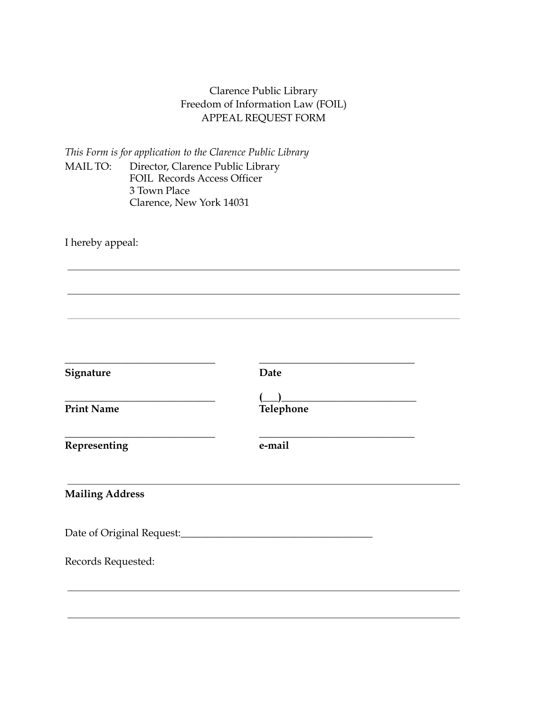#### Clarence Public Library Freedom of Information Law (FOIL) APPEAL REQUEST FORM

*This Form is for application to the Clarence Public Library* MAIL TO: Director, Clarence Public Library FOIL Records Access Officer 3 Town Place Clarence, New York 14031

I hereby appeal:

**Signature Date**

\_\_\_\_\_\_\_\_\_\_\_\_\_\_\_\_\_\_\_\_\_\_\_\_\_\_\_\_\_ \_\_\_\_\_\_\_\_\_\_\_\_\_\_\_\_\_\_\_\_\_\_\_\_\_\_\_\_\_\_

**\_\_\_\_\_\_\_\_\_\_\_\_\_\_\_\_\_\_\_\_\_\_\_\_\_\_\_\_\_ (\_\_\_)\_\_\_\_\_\_\_\_\_\_\_\_\_\_\_\_\_\_\_\_\_\_\_\_\_\_**

**Representing e-mail**

**\_\_\_\_\_\_\_\_\_\_\_\_\_\_\_\_\_\_\_\_\_\_\_\_\_\_\_\_\_ \_\_\_\_\_\_\_\_\_\_\_\_\_\_\_\_\_\_\_\_\_\_\_\_\_\_\_\_\_\_**

 $Telephone$ 

#### **Mailing Address**

Date of Original Request:\_\_\_\_\_\_\_\_\_\_\_\_\_\_\_\_\_\_\_\_\_\_\_\_\_\_\_\_\_\_\_\_\_\_\_\_\_

Records Requested: